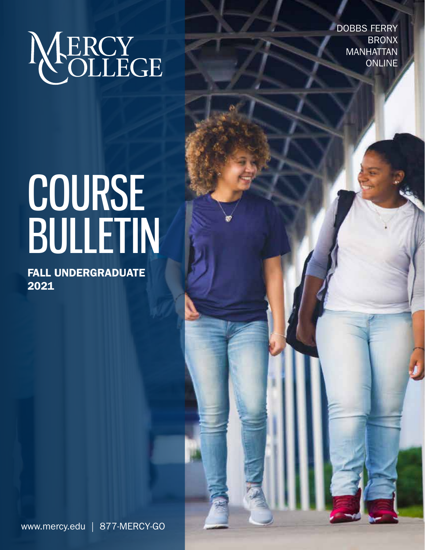NERCY

DOBBS FERRY **BRONX** MANHATTAN ONLINE

# COURSE BULLETIN

FALL UNDERGRADUATE 2021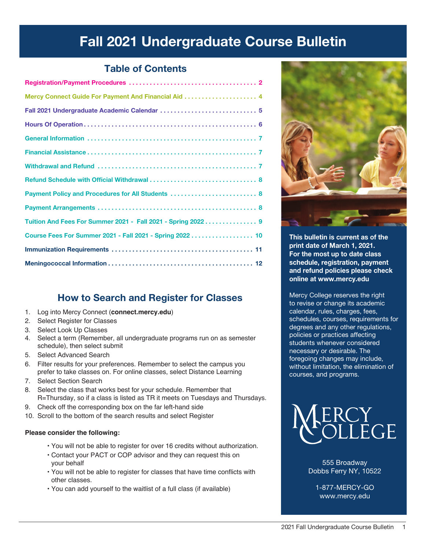# Fall 2021 Undergraduate Course Bulletin

## Table of Contents

| Fall 2021 Undergraduate Academic Calendar  5                 |
|--------------------------------------------------------------|
|                                                              |
|                                                              |
|                                                              |
|                                                              |
|                                                              |
| Payment Policy and Procedures for All Students  8            |
|                                                              |
| Tuition And Fees For Summer 2021 - Fall 2021 - Spring 2022 9 |
| Course Fees For Summer 2021 - Fall 2021 - Spring 2022 10     |
|                                                              |
|                                                              |
|                                                              |

## How to Search and Register for Classes

- 1. Log into Mercy Connect (**connect.mercy.edu**)
- 2. Select Register for Classes
- 3. Select Look Up Classes
- 4. Select a term (Remember, all undergraduate programs run on as semester schedule), then select submit
- 5. Select Advanced Search
- 6. Filter results for your preferences. Remember to select the campus you prefer to take classes on. For online classes, select Distance Learning
- 7. Select Section Search
- 8. Select the class that works best for your schedule. Remember that R=Thursday, so if a class is listed as TR it meets on Tuesdays and Thursdays.
- 9. Check off the corresponding box on the far left-hand side
- 10. Scroll to the bottom of the search results and select Register

#### **Please consider the following:**

- You will not be able to register for over 16 credits without authorization.
- Contact your PACT or COP advisor and they can request this on your behalf
- You will not be able to register for classes that have time conflicts with other classes.
- You can add yourself to the waitlist of a full class (if available)



This bulletin is current as of the print date of March 1, 2021. For the most up to date class schedule, registration, payment and refund policies please check online at www.mercy.edu

Mercy College reserves the right to revise or change its academic calendar, rules, charges, fees, schedules, courses, requirements for degrees and any other regulations, policies or practices affecting students whenever considered necessary or desirable. The foregoing changes may include, without limitation, the elimination of courses, and programs.



555 Broadway Dobbs Ferry NY, 10522

1-877-MERCY-GO www.mercy.edu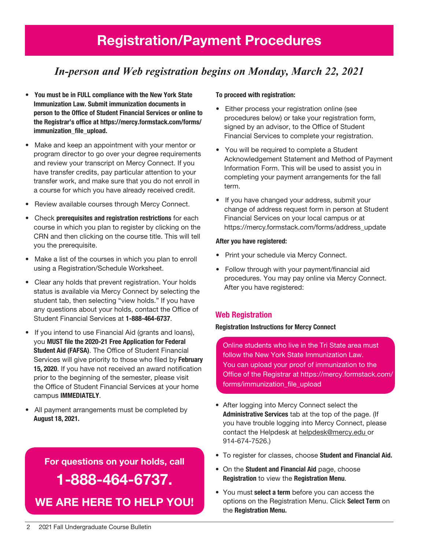# Registration/Payment Procedures

## *In-person and Web registration begins on Monday, March 22, 2021*

- You must be in FULL compliance with the New York State Immunization Law. Submit immunization documents in person to the Office of Student Financial Services or online to the Registrar's office at https://mercy.formstack.com/forms/ immunization file upload.
- Make and keep an appointment with your mentor or program director to go over your degree requirements and review your transcript on Mercy Connect. If you have transfer credits, pay particular attention to your transfer work, and make sure that you do not enroll in a course for which you have already received credit.
- Review available courses through Mercy Connect.
- Check prerequisites and registration restrictions for each course in which you plan to register by clicking on the CRN and then clicking on the course title. This will tell you the prerequisite.
- Make a list of the courses in which you plan to enroll using a Registration/Schedule Worksheet.
- Clear any holds that prevent registration. Your holds status is available via Mercy Connect by selecting the student tab, then selecting "view holds." If you have any questions about your holds, contact the Office of Student Financial Services at 1-888-464-6737.
- If you intend to use Financial Aid (grants and loans), you MUST file the 2020-21 Free Application for Federal Student Aid (FAFSA). The Office of Student Financial Services will give priority to those who filed by February 15, 2020. If you have not received an award notification prior to the beginning of the semester, please visit the Office of Student Financial Services at your home campus IMMEDIATELY.
- All payment arrangements must be completed by August 18, 2021.

# For questions on your holds, call

# 1-888-464-6737. WE ARE HERE TO HELP YOU!

#### To proceed with registration:

- Either process your registration online (see procedures below) or take your registration form, signed by an advisor, to the Office of Student Financial Services to complete your registration.
- You will be required to complete a Student Acknowledgement Statement and Method of Payment Information Form. This will be used to assist you in completing your payment arrangements for the fall term.
- If you have changed your address, submit your change of address request form in person at Student Financial Services on your local campus or at https://mercy.formstack.com/forms/address\_update

#### After you have registered:

- Print your schedule via Mercy Connect.
- Follow through with your payment/financial aid procedures. You may pay online via Mercy Connect. After you have registered:

#### Web Registration

#### Registration Instructions for Mercy Connect

Online students who live in the Tri State area must follow the New York State Immunization Law. You can upload your proof of immunization to the Office of the Registrar at https://mercy.formstack.com/ forms/immunization\_file\_upload

- After logging into Mercy Connect select the Administrative Services tab at the top of the page. (If you have trouble logging into Mercy Connect, please contact the Helpdesk at helpdesk@mercy.edu or 914-674-7526.)
- To register for classes, choose Student and Financial Aid.
- On the Student and Financial Aid page, choose Registration to view the Registration Menu.
- You must select a term before you can access the options on the Registration Menu. Click Select Term on the Registration Menu.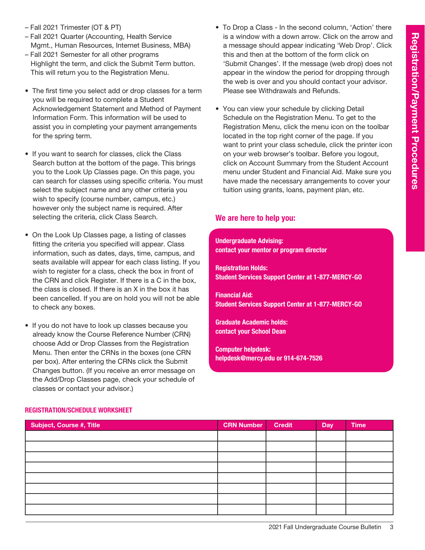- Fall 2021 Trimester (OT & PT)
- Fall 2021 Quarter (Accounting, Health Service Mgmt., Human Resources, Internet Business, MBA)
- Fall 2021 Semester for all other programs Highlight the term, and click the Submit Term button. This will return you to the Registration Menu.
- The first time you select add or drop classes for a term you will be required to complete a Student Acknowledgement Statement and Method of Payment Information Form. This information will be used to assist you in completing your payment arrangements for the spring term.
- If you want to search for classes, click the Class Search button at the bottom of the page. This brings you to the Look Up Classes page. On this page, you can search for classes using specific criteria. You must select the subject name and any other criteria you wish to specify (course number, campus, etc.) however only the subject name is required. After selecting the criteria, click Class Search.
- On the Look Up Classes page, a listing of classes fitting the criteria you specified will appear. Class information, such as dates, days, time, campus, and seats available will appear for each class listing. If you wish to register for a class, check the box in front of the CRN and click Register. If there is a C in the box, the class is closed. If there is an X in the box it has been cancelled. If you are on hold you will not be able to check any boxes.
- If you do not have to look up classes because you already know the Course Reference Number (CRN) choose Add or Drop Classes from the Registration Menu. Then enter the CRNs in the boxes (one CRN per box). After entering the CRNs click the Submit Changes button. (If you receive an error message on the Add/Drop Classes page, check your schedule of classes or contact your advisor.)
- To Drop a Class In the second column, 'Action' there is a window with a down arrow. Click on the arrow and a message should appear indicating 'Web Drop'. Click this and then at the bottom of the form click on 'Submit Changes'. If the message (web drop) does not appear in the window the period for dropping through the web is over and you should contact your advisor. Please see Withdrawals and Refunds.
- You can view your schedule by clicking Detail Schedule on the Registration Menu. To get to the Registration Menu, click the menu icon on the toolbar located in the top right corner of the page. If you want to print your class schedule, click the printer icon on your web browser's toolbar. Before you logout, click on Account Summary from the Student Account menu under Student and Financial Aid. Make sure you have made the necessary arrangements to cover your tuition using grants, loans, payment plan, etc.

#### We are here to help you:

Undergraduate Advising: contact your mentor or program director

Registration Holds: Student Services Support Center at 1-877-MERCY-GO

Financial Aid: Student Services Support Center at 1-877-MERCY-GO

Graduate Academic holds: contact your School Dean

Computer helpdesk: helpdesk@mercy.edu or 914-674-7526

#### Registration/Schedule Worksheet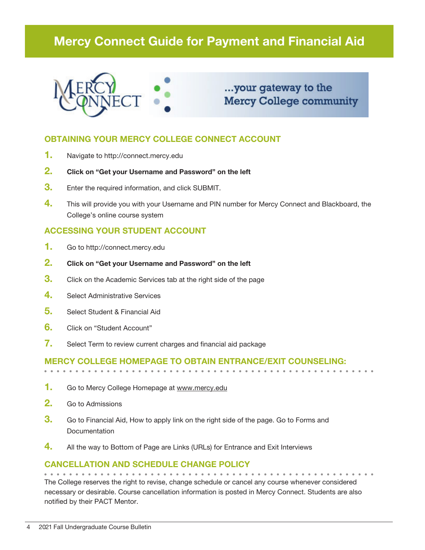## Mercy Connect Guide for Payment and Financial Aid



...your gateway to the **Mercy College community** 

#### OBTAINING YOUR MERCY COLLEGE CONNECT ACCOUNT

- 1. Navigate to http://connect.mercy.edu
- 2. Click on "Get your Username and Password" on the left
- **3.** Enter the required information, and click SUBMIT.
- 4. This will provide you with your Username and PIN number for Mercy Connect and Blackboard, the College's online course system

#### ACCESSING YOUR STUDENT ACCOUNT

- 1. Go to http://connect.mercy.edu
- 2. Click on "Get your Username and Password" on the left
- **3.** Click on the Academic Services tab at the right side of the page
- 4. Select Administrative Services
- 5. Select Student & Financial Aid
- **6.** Click on "Student Account"
- 7. Select Term to review current charges and financial aid package

#### Mercy College homepage to obtain entrance/exit counseling:

- 1. Go to Mercy College Homepage at www.mercy.edu
- 2. Go to Admissions
- **3.** Go to Financial Aid, How to apply link on the right side of the page. Go to Forms and **Documentation**
- 4. All the way to Bottom of Page are Links (URLs) for Entrance and Exit Interviews

#### Cancellation and Schedule Change Policy

The College reserves the right to revise, change schedule or cancel any course whenever considered necessary or desirable. Course cancellation information is posted in Mercy Connect. Students are also notified by their PACT Mentor.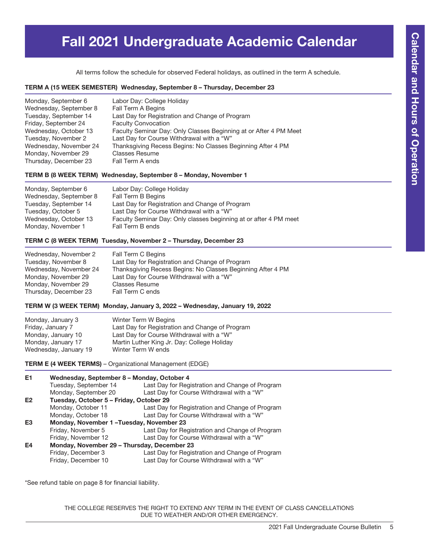# Fall 2021 Undergraduate Academic Calendar

All terms follow the schedule for observed Federal holidays, as outlined in the term A schedule.

#### TERM A (15 WEEK SEMESTER) Wednesday, September 8 – Thursday, December 23

| Monday, September 6    | Labor Day: College Holiday                                        |
|------------------------|-------------------------------------------------------------------|
| Wednesday, September 8 | Fall Term A Begins                                                |
| Tuesday, September 14  | Last Day for Registration and Change of Program                   |
| Friday, September 24   | <b>Faculty Convocation</b>                                        |
| Wednesday, October 13  | Faculty Seminar Day: Only Classes Beginning at or After 4 PM Meet |
| Tuesday, November 2    | Last Day for Course Withdrawal with a "W"                         |
| Wednesday, November 24 | Thanksgiving Recess Begins: No Classes Beginning After 4 PM       |
| Monday, November 29    | <b>Classes Resume</b>                                             |
| Thursday, December 23  | Fall Term A ends                                                  |

#### TERM B (8 WEEK TERM) Wednesday, September 8 – Monday, November 1

| Monday, September 6    | Labor Day: College Holiday                                        |
|------------------------|-------------------------------------------------------------------|
| Wednesday, September 8 | Fall Term B Begins                                                |
| Tuesday, September 14  | Last Day for Registration and Change of Program                   |
| Tuesday, October 5     | Last Day for Course Withdrawal with a "W"                         |
| Wednesday, October 13  | Faculty Seminar Day: Only classes beginning at or after 4 PM meet |
| Monday, November 1     | Fall Term B ends                                                  |

#### TERM C (8 WEEK TERM) Tuesday, November 2 – Thursday, December 23

| Wednesday, November 2  | Fall Term C Begins                                          |
|------------------------|-------------------------------------------------------------|
| Tuesday, November 8    | Last Day for Registration and Change of Program             |
| Wednesday, November 24 | Thanksgiving Recess Begins: No Classes Beginning After 4 PM |
| Monday, November 29    | Last Day for Course Withdrawal with a "W"                   |
| Monday, November 29    | <b>Classes Resume</b>                                       |
| Thursday, December 23  | Fall Term C ends                                            |

#### TERM W (3 WEEK TERM) Monday, January 3, 2022 – Wednesday, January 19, 2022

| Monday, January 3     | Winter Term W Begins                            |
|-----------------------|-------------------------------------------------|
| Friday, January 7     | Last Day for Registration and Change of Program |
| Monday, January 10    | Last Day for Course Withdrawal with a "W"       |
| Monday, January 17    | Martin Luther King Jr. Day: College Holiday     |
| Wednesday, January 19 | Winter Term W ends                              |

TERM E (4 WEEK TERMS) – Organizational Management (EDGE)

| Wednesday, September 8 - Monday, October 4 |                                                                                                                                   |  |  |
|--------------------------------------------|-----------------------------------------------------------------------------------------------------------------------------------|--|--|
| Tuesday, September 14                      | Last Day for Registration and Change of Program                                                                                   |  |  |
| Monday, September 20                       | Last Day for Course Withdrawal with a "W"                                                                                         |  |  |
|                                            |                                                                                                                                   |  |  |
| Monday, October 11                         | Last Day for Registration and Change of Program                                                                                   |  |  |
| Monday, October 18                         | Last Day for Course Withdrawal with a "W"                                                                                         |  |  |
|                                            |                                                                                                                                   |  |  |
| Friday, November 5                         | Last Day for Registration and Change of Program                                                                                   |  |  |
| Friday, November 12                        | Last Day for Course Withdrawal with a "W"                                                                                         |  |  |
|                                            |                                                                                                                                   |  |  |
| Friday, December 3                         | Last Day for Registration and Change of Program                                                                                   |  |  |
| Friday, December 10                        | Last Day for Course Withdrawal with a "W"                                                                                         |  |  |
|                                            | Tuesday, October 5 - Friday, October 29<br>Monday, November 1-Tuesday, November 23<br>Monday, November 29 - Thursday, December 23 |  |  |

\*See refund table on page 8 for financial liability.

THE COLLEGE RESERVES THE RIGHT TO EXTEND ANY TERM IN THE EVENT OF CLASS CANCELLATIONS DUE TO WEATHER AND/OR OTHER EMERGENCY.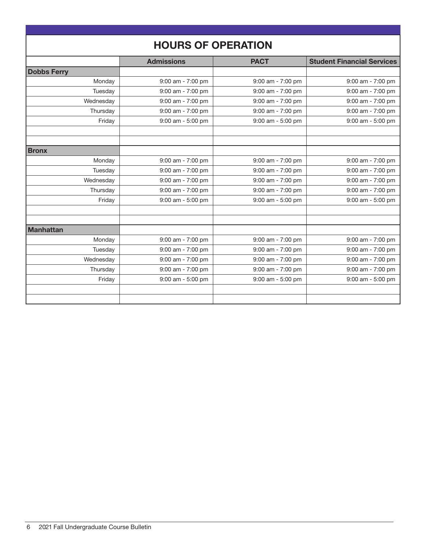| <b>HOURS OF OPERATION</b> |                                        |                       |                                   |  |  |
|---------------------------|----------------------------------------|-----------------------|-----------------------------------|--|--|
|                           | <b>Admissions</b>                      | <b>PACT</b>           | <b>Student Financial Services</b> |  |  |
| <b>Dobbs Ferry</b>        |                                        |                       |                                   |  |  |
| Monday                    | 9:00 am - 7:00 pm                      | 9:00 am - 7:00 pm     | 9:00 am - 7:00 pm                 |  |  |
| Tuesday                   | 9:00 am - 7:00 pm                      | 9:00 am - 7:00 pm     | 9:00 am - 7:00 pm                 |  |  |
| Wednesday                 | 9:00 am - 7:00 pm                      | 9:00 am - 7:00 pm     | 9:00 am - 7:00 pm                 |  |  |
| Thursday                  | $9:00$ am - $7:00$ pm                  | 9:00 am - 7:00 pm     | $9:00$ am - $7:00$ pm             |  |  |
| Friday                    | $9:00$ am - $5:00$ pm                  | 9:00 am - 5:00 pm     | $9:00$ am - $5:00$ pm             |  |  |
|                           |                                        |                       |                                   |  |  |
|                           |                                        |                       |                                   |  |  |
| <b>Bronx</b>              |                                        |                       |                                   |  |  |
| Monday                    | 9:00 am - 7:00 pm                      | 9:00 am - 7:00 pm     | 9:00 am - 7:00 pm                 |  |  |
| Tuesday                   | 9:00 am - 7:00 pm                      | 9:00 am - 7:00 pm     | 9:00 am - 7:00 pm                 |  |  |
| Wednesday                 | 9:00 am - 7:00 pm                      | 9:00 am - 7:00 pm     | 9:00 am - 7:00 pm                 |  |  |
| Thursday                  | 9:00 am - 7:00 pm                      | 9:00 am - 7:00 pm     | $9:00$ am - $7:00$ pm             |  |  |
| Friday                    | 9:00 am - 5:00 pm<br>9:00 am - 5:00 pm |                       | 9:00 am - 5:00 pm                 |  |  |
|                           |                                        |                       |                                   |  |  |
|                           |                                        |                       |                                   |  |  |
| <b>Manhattan</b>          |                                        |                       |                                   |  |  |
| Monday                    | 9:00 am - 7:00 pm                      | 9:00 am - 7:00 pm     | 9:00 am - 7:00 pm                 |  |  |
| Tuesday                   | 9:00 am - 7:00 pm                      | 9:00 am - 7:00 pm     | 9:00 am - 7:00 pm                 |  |  |
| Wednesday                 | $9:00$ am - $7:00$ pm                  | 9:00 am - 7:00 pm     | 9:00 am - 7:00 pm                 |  |  |
| Thursday                  | $9:00$ am - $7:00$ pm                  | $9:00$ am - $7:00$ pm | $9:00$ am - $7:00$ pm             |  |  |
| Friday                    | 9:00 am - 5:00 pm                      | 9:00 am - 5:00 pm     | 9:00 am - 5:00 pm                 |  |  |
|                           |                                        |                       |                                   |  |  |
|                           |                                        |                       |                                   |  |  |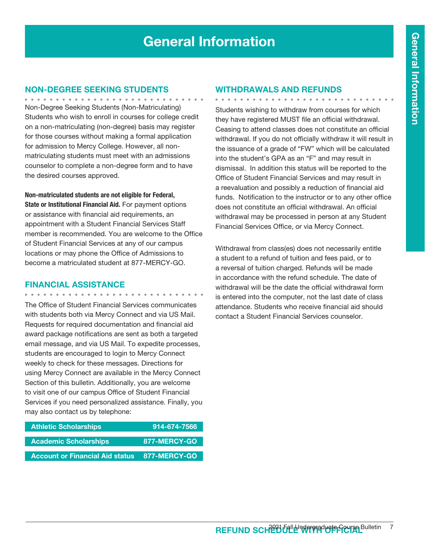#### Non-Degree Seeking Students

Non-Degree Seeking Students (Non-Matriculating) Students who wish to enroll in courses for college credit on a non-matriculating (non-degree) basis may register for those courses without making a formal application for admission to Mercy College. However, all nonmatriculating students must meet with an admissions counselor to complete a non-degree form and to have the desired courses approved.

Non-matriculated students are not eligible for Federal,

State or Institutional Financial Aid. For payment options or assistance with financial aid requirements, an appointment with a Student Financial Services Staff member is recommended. You are welcome to the Office of Student Financial Services at any of our campus locations or may phone the Office of Admissions to become a matriculated student at 877-MERCY-GO.

#### Financial Assistance

. . . . . . . . . . . . . .

The Office of Student Financial Services communicates with students both via Mercy Connect and via US Mail. Requests for required documentation and financial aid award package notifications are sent as both a targeted email message, and via US Mail. To expedite processes, students are encouraged to login to Mercy Connect weekly to check for these messages. Directions for using Mercy Connect are available in the Mercy Connect Section of this bulletin. Additionally, you are welcome to visit one of our campus Office of Student Financial Services if you need personalized assistance. Finally, you may also contact us by telephone:

| <b>Athletic Scholarships</b>           | 914-674-7566 |
|----------------------------------------|--------------|
| <b>Academic Scholarships</b>           | 877-MERCY-GO |
| <b>Account or Financial Aid status</b> | 877-MERCY-GO |

#### Withdrawals and Refunds

Students wishing to withdraw from courses for which they have registered MUST file an official withdrawal. Ceasing to attend classes does not constitute an official withdrawal. If you do not officially withdraw it will result in the issuance of a grade of "FW" which will be calculated into the student's GPA as an "F" and may result in dismissal. In addition this status will be reported to the Office of Student Financial Services and may result in a reevaluation and possibly a reduction of financial aid funds. Notification to the instructor or to any other office does not constitute an official withdrawal. An official withdrawal may be processed in person at any Student Financial Services Office, or via Mercy Connect.

Withdrawal from class(es) does not necessarily entitle a student to a refund of tuition and fees paid, or to a reversal of tuition charged. Refunds will be made in accordance with the refund schedule. The date of withdrawal will be the date the official withdrawal form is entered into the computer, not the last date of class attendance. Students who receive financial aid should contact a Student Financial Services counselor.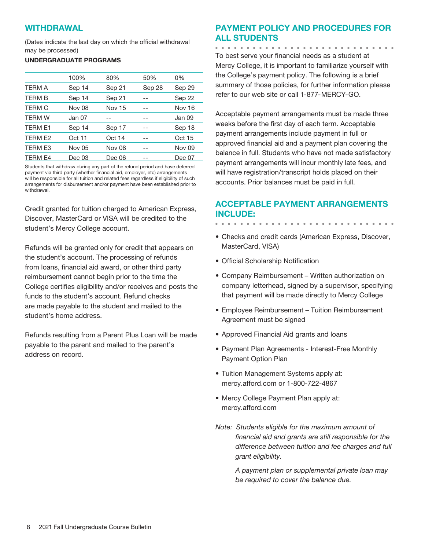#### **WITHDRAWAL**

(Dates indicate the last day on which the official withdrawal may be processed)

#### UNDERGRADUATE PROGRAMS

|                | 100%   | 80%           | 50%    | 0%            |
|----------------|--------|---------------|--------|---------------|
| <b>TERM A</b>  | Sep 14 | Sep 21        | Sep 28 | Sep 29        |
| <b>TERM B</b>  | Sep 14 | Sep 21        |        | Sep 22        |
| <b>TERM C</b>  | Nov 08 | <b>Nov 15</b> |        | <b>Nov 16</b> |
| <b>TERM W</b>  | Jan 07 |               |        | Jan 09        |
| TERM E1        | Sep 14 | Sep 17        |        | Sep 18        |
| TERM E2        | Oct 11 | Oct 14        | --     | Oct 15        |
| <b>TERM E3</b> | Nov 05 | <b>Nov 08</b> |        | <b>Nov 09</b> |
| <b>TERM E4</b> | Dec 03 | Dec 06        | --     | Dec 07        |

Students that withdraw during any part of the refund period and have deferred payment via third party (whether financial aid, employer, etc) arrangements will be responsible for all tuition and related fees regardless if eligibility of such arrangements for disbursement and/or payment have been established prior to withdrawal.

Credit granted for tuition charged to American Express, Discover, MasterCard or VISA will be credited to the student's Mercy College account.

Refunds will be granted only for credit that appears on the student's account. The processing of refunds from loans, financial aid award, or other third party reimbursement cannot begin prior to the time the College certifies eligibility and/or receives and posts the funds to the student's account. Refund checks are made payable to the student and mailed to the student's home address.

Refunds resulting from a Parent Plus Loan will be made payable to the parent and mailed to the parent's address on record.

### Payment Policy and Procedures for all Students

. . . . . . . . . . . . . .

. . . . . . . . . . . .

To best serve your financial needs as a student at Mercy College, it is important to familiarize yourself with the College's payment policy. The following is a brief summary of those policies, for further information please refer to our web site or call 1-877-MERCY-GO.

Acceptable payment arrangements must be made three weeks before the first day of each term. Acceptable payment arrangements include payment in full or approved financial aid and a payment plan covering the balance in full. Students who have not made satisfactory payment arrangements will incur monthly late fees, and will have registration/transcript holds placed on their accounts. Prior balances must be paid in full.

#### Acceptable Payment Arrangements include:

- Checks and credit cards (American Express, Discover, MasterCard, VISA)
- Official Scholarship Notification
- Company Reimbursement Written authorization on company letterhead, signed by a supervisor, specifying that payment will be made directly to Mercy College
- Employee Reimbursement Tuition Reimbursement Agreement must be signed
- Approved Financial Aid grants and loans
- Payment Plan Agreements Interest-Free Monthly Payment Option Plan
- Tuition Management Systems apply at: mercy.afford.com or 1-800-722-4867
- Mercy College Payment Plan apply at: mercy.afford.com
- *Note: Students eligible for the maximum amount of financial aid and grants are still responsible for the difference between tuition and fee charges and full grant eligibility.*

*A payment plan or supplemental private loan may be required to cover the balance due.*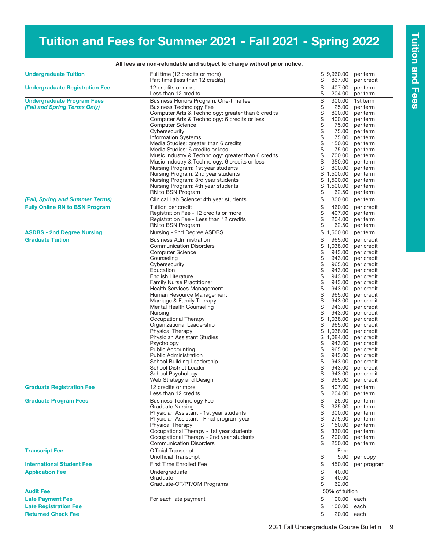# Tuition and Fees for Summer 2021 - Fall 2021 - Spring 2022

| <b>Undergraduate Tuition</b>          | Full time (12 credits or more)<br>Part time (less than 12 credits)                   | \$       | \$9,960.00<br>837.00 | per term<br>per credit   |
|---------------------------------------|--------------------------------------------------------------------------------------|----------|----------------------|--------------------------|
| <b>Undergraduate Registration Fee</b> | 12 credits or more                                                                   | \$       | 407.00               | per term                 |
|                                       | Less than 12 credits                                                                 | \$       | 204.00               | per term                 |
| <b>Undergraduate Program Fees</b>     | Business Honors Program: One-time fee                                                | \$       | 300.00               | 1st term                 |
| (Fall and Spring Terms Only)          | <b>Business Technology Fee</b>                                                       | \$       | 25.00                | per term                 |
|                                       | Computer Arts & Technology: greater than 6 credits                                   | \$       | 800.00               | per term                 |
|                                       | Computer Arts & Technology: 6 credits or less                                        | \$       | 400.00               | per term                 |
|                                       | <b>Computer Science</b>                                                              | \$       | 75.00                | per term                 |
|                                       | Cybersecurity                                                                        | \$       | 75.00                | per term                 |
|                                       | <b>Information Systems</b><br>Media Studies: greater than 6 credits                  | \$<br>\$ | 75.00<br>150.00      | per term                 |
|                                       | Media Studies: 6 credits or less                                                     | \$       | 75.00                | per term<br>per term     |
|                                       | Music Industry & Technology: greater than 6 credits                                  | \$       | 700.00               | per term                 |
|                                       | Music Industry & Technology: 6 credits or less                                       | \$       | 350.00               | per term                 |
|                                       | Nursing Program: 1st year students                                                   | \$       | 800.00               | per term                 |
|                                       | Nursing Program: 2nd year students                                                   | \$       | 1,500.00             | per term                 |
|                                       | Nursing Program: 3rd year students                                                   |          | \$1,500.00           | per term                 |
|                                       | Nursing Program: 4th year students                                                   |          | \$1,500.00           | per term                 |
|                                       | RN to BSN Program                                                                    | \$       | 62.50                | per term                 |
| (Fall, Spring and Summer Terms)       | Clinical Lab Science: 4th year students                                              | \$       | 300.00               | per term                 |
| <b>Fully Online RN to BSN Program</b> | Tuition per credit                                                                   | \$       | 460.00               | per credit               |
|                                       | Registration Fee - 12 credits or more                                                | \$       | 407.00               | per term                 |
|                                       | Registration Fee - Less than 12 credits                                              | \$       | 204.00               | per term                 |
|                                       | RN to BSN Program                                                                    | \$       | 62.50                | per term                 |
| <b>ASDBS - 2nd Degree Nursing</b>     | Nursing - 2nd Degree ASDBS                                                           |          | \$1,500.00           | per term                 |
| <b>Graduate Tuition</b>               | <b>Business Administration</b>                                                       | \$       | 965.00               | per credit               |
|                                       | <b>Communication Disorders</b><br><b>Computer Science</b>                            | \$<br>\$ | 1,038.00<br>943.00   | per credit<br>per credit |
|                                       | Counseling                                                                           | \$       | 943.00               | per credit               |
|                                       | Cybersecurity                                                                        | \$       | 965.00               | per credit               |
|                                       | Education                                                                            | \$       | 943.00               | per credit               |
|                                       | English Literature                                                                   | \$       | 943.00               | per credit               |
|                                       | <b>Family Nurse Practitioner</b>                                                     | \$       | 943.00               | per credit               |
|                                       | <b>Health Services Management</b>                                                    | \$       | 943.00               | per credit               |
|                                       | Human Resource Management                                                            | \$       | 965.00               | per credit               |
|                                       | Marriage & Family Therapy                                                            | \$       | 943.00               | per credit               |
|                                       | Mental Health Counseling                                                             | \$       | 943.00               | per credit               |
|                                       | Nursing                                                                              | \$       | 943.00               | per credit               |
|                                       | Occupational Therapy                                                                 | \$       | 1,038.00             | per credit               |
|                                       | Organizational Leadership                                                            | \$       | 965.00               | per credit               |
|                                       | Physical Therapy                                                                     | \$       | 1,038.00             | per credit               |
|                                       | Physician Assistant Studies                                                          | \$       | 1,084.00             | per credit               |
|                                       | Psychology                                                                           | \$<br>\$ | 943.00<br>965.00     | per credit               |
|                                       | <b>Public Accounting</b><br><b>Public Administration</b>                             | \$       | 943.00               | per credit<br>per credit |
|                                       | School Building Leadership                                                           | \$       | 943.00               | per credit               |
|                                       | <b>School District Leader</b>                                                        | \$       | 943.00               | per credit               |
|                                       | School Psychology                                                                    |          | 943.00               | per credit               |
|                                       | Web Strategy and Design                                                              | \$       |                      | 965.00 per credit        |
| <b>Graduate Registration Fee</b>      | 12 credits or more                                                                   | \$       | 407.00               | per term                 |
|                                       | Less than 12 credits                                                                 | \$       | 204.00               | per term                 |
| <b>Graduate Program Fees</b>          | <b>Business Technology Fee</b>                                                       | \$       | 25.00                | per term                 |
|                                       | <b>Graduate Nursing</b>                                                              | \$       | 325.00               | per term                 |
|                                       | Physician Assistant - 1st year students                                              | \$       | 300.00               | per term                 |
|                                       | Physician Assistant - Final program year                                             | \$       | 275.00               | per term                 |
|                                       | <b>Physical Therapy</b>                                                              | \$       | 150.00               | per term                 |
|                                       | Occupational Therapy - 1st year students<br>Occupational Therapy - 2nd year students | \$<br>\$ | 330.00<br>200.00     | per term                 |
|                                       | <b>Communication Disorders</b>                                                       | \$       | 250.00               | per term<br>per term     |
| <b>Transcript Fee</b>                 | <b>Official Transcript</b>                                                           |          | Free                 |                          |
|                                       | <b>Unofficial Transcript</b>                                                         | \$       | 5.00                 | per copy                 |
| <b>International Student Fee</b>      | <b>First Time Enrolled Fee</b>                                                       | \$       | 450.00               | per program              |
| <b>Application Fee</b>                | Undergraduate                                                                        | \$       | 40.00                |                          |
|                                       | Graduate                                                                             | \$       | 40.00                |                          |
|                                       | Graduate-OT/PT/OM Programs                                                           | \$       | 62.00                |                          |
| <b>Audit Fee</b>                      |                                                                                      |          | 50% of tuition       |                          |
| <b>Late Payment Fee</b>               | For each late payment                                                                | \$       | 100.00               | each                     |
| <b>Late Registration Fee</b>          |                                                                                      | \$       | 100.00               | each                     |
| <b>Returned Check Fee</b>             |                                                                                      | \$       | 20.00 each           |                          |

All fees are non-refundable and subject to change without prior notice.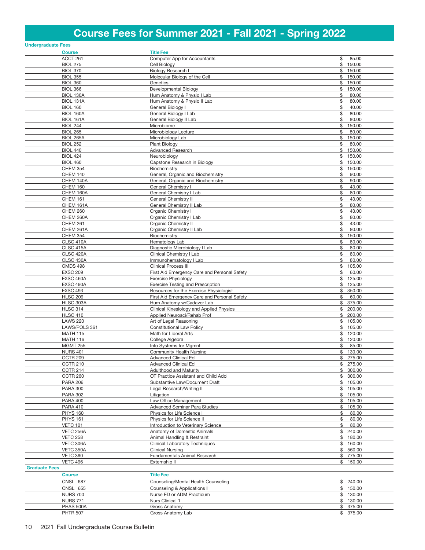# Course Fees for Summer 2021 - Fall 2021 - Spring 2022

| <b>Undergraduate Fees</b>           |                                                                        |                             |
|-------------------------------------|------------------------------------------------------------------------|-----------------------------|
| <b>Course</b>                       | <b>Title Fee</b>                                                       |                             |
| ACCT 261                            | Computer App for Accountants                                           | \$<br>85.00                 |
| <b>BIOL 275</b>                     | Cell Biology                                                           | \$150.00                    |
| <b>BIOL 370</b>                     | <b>Biology Research I</b>                                              | \$150.00                    |
| <b>BIOL 355</b><br><b>BIOL 360</b>  | Molecular Biology of the Cell<br>Genetics                              | \$150.00<br>\$150.00        |
| <b>BIOL 366</b>                     | Developmental Biology                                                  | \$150.00                    |
| BIOL 130A                           | Hum Anatomy & Physio I Lab                                             | \$<br>80.00                 |
| BIOL 131A                           | Hum Anatomy & Physio II Lab                                            | \$<br>80.00                 |
| <b>BIOL 160</b>                     | General Biology I                                                      | \$<br>40.00                 |
| BIOL 160A                           | General Biology I Lab                                                  | \$<br>80.00                 |
| BIOL 161A                           | General Biology II Lab                                                 | \$<br>80.00                 |
| <b>BIOL 244</b>                     | Microbiome                                                             | \$<br>150.00                |
| <b>BIOL 265</b>                     | Microbiology Lecture<br>Microbiology Lab                               | \$<br>80.00<br>\$<br>150.00 |
| <b>BIOL 265A</b><br><b>BIOL 252</b> | <b>Plant Biology</b>                                                   | \$<br>80.00                 |
| <b>BIOL 440</b>                     | <b>Advanced Research</b>                                               | \$150.00                    |
| <b>BIOL 424</b>                     | Neurobiology                                                           | \$150.00                    |
| <b>BIOL 460</b>                     | Capstone Research in Biology                                           | \$150.00                    |
| <b>CHEM 354</b>                     | Biochemistry                                                           | \$150.00                    |
| CHEM 140                            | General, Organic and Biochemistry                                      | \$<br>90.00                 |
| CHEM 140A                           | General, Organic and Biochemistry                                      | \$<br>90.00                 |
| CHEM 160<br>CHEM 160A               | General Chemistry I<br>General Chemistry I Lab                         | \$<br>43.00<br>\$<br>80.00  |
| <b>CHEM 161</b>                     | <b>General Chemistry II</b>                                            | \$<br>43.00                 |
| CHEM 161A                           | General Chemistry II Lab                                               | \$<br>80.00                 |
| <b>CHEM 260</b>                     | Organic Chemistry I                                                    | \$<br>43.00                 |
| CHEM 260A                           | Organic Chemistry I Lab                                                | \$<br>80.00                 |
| <b>CHEM 261</b>                     | <b>Organic Chemistry II</b>                                            | \$<br>43.00                 |
| CHEM 261A                           | Organic Chemistry II Lab                                               | \$<br>80.00                 |
| <b>CHEM 354</b><br>CLSC 410A        | Biochemistry<br>Hematology Lab                                         | \$<br>150.00<br>\$<br>80.00 |
| CLSC 415A                           | Diagnostic Microbiology I Lab                                          | \$<br>80.00                 |
| CLSC 420A                           | Clinical Chemistry I Lab                                               | \$<br>80.00                 |
| CLSC 430A                           | Immunohematology I Lab                                                 | \$<br>80.00                 |
| <b>CMDS 498</b>                     | <b>Clinical Process III</b>                                            | \$<br>105.00                |
| <b>EXSC 209</b>                     | First Aid Emergency Care and Personal Safety                           | \$<br>60.00<br>\$125.00     |
| EXSC 460A<br><b>EXSC_490A</b>       | <b>Exercise Physiology</b><br><b>Exercise Testing and Prescription</b> | \$125.00                    |
| <b>EXSC 493</b>                     | Resources for the Exercise Physiologist                                | 350.00<br>\$                |
| <b>HLSC 209</b>                     | First Aid Emergency Care and Personal Safety                           | \$<br>60.00                 |
| HLSC 303A                           | Hum Anatomy w/Cadaver Lab                                              | \$375.00                    |
| <b>HLSC 314</b>                     | Clinical Kinesiology and Applied Physics                               | 200.00<br>\$                |
| <b>HLSC 410</b>                     | Applied Neurosci/Rehab Prof<br>Art of Legal Reasoning                  | 200.00<br>\$                |
| <b>LAWS 220</b><br>LAWS/POLS 361    | <b>Constitutional Law Policy</b>                                       | \$105.00<br>105.00<br>\$    |
| <b>MATH 115</b>                     | Math for Liberal Arts                                                  | \$120.00                    |
| <b>MATH 116</b>                     | College Algebra                                                        | \$120.00                    |
| <b>MGMT 255</b>                     | Info Systems for Mgmnt                                                 | \$<br>85.00                 |
| <b>NURS 401</b>                     | <b>Community Health Nursing</b>                                        | $\frac{1}{1}$ 130.00        |
| OCTR 209                            | Advanced Clinical Ed                                                   | \$ 275.00                   |
| <b>OCTR 210</b><br><b>OCTR 214</b>  | Advanced Clinical Ed<br>Adulthood and Maturity                         | \$275.00<br>\$300.00        |
| OCTR 260                            | OT Practice Assistant and Child Adol                                   | \$300.00                    |
| <b>PARA 206</b>                     | Substantive Law/Document Draft                                         | \$105.00                    |
| <b>PARA 300</b>                     | Legal Research/Writing II                                              | \$105.00                    |
| <b>PARA 302</b>                     | Litigation                                                             | \$105.00                    |
| <b>PARA 400</b>                     | Law Office Management                                                  | \$105.00                    |
| <b>PARA 410</b>                     | <b>Advanced Seminar Para Studies</b>                                   | \$105.00                    |
| <b>PHYS 160</b><br><b>PHYS 161</b>  | Physics for Life Science I<br>Physics for Life Science II              | \$<br>80.00<br>\$<br>80.00  |
| <b>VETC 101</b>                     | Introduction to Veterinary Science                                     | \$<br>80.00                 |
| VETC 256A                           | Anatomy of Domestic Animals                                            | \$240.00                    |
| <b>VETC 258</b>                     | Animal Handling & Restraint                                            | \$180.00                    |
| VETC 306A                           | <b>Clinical Laboratory Techniques</b>                                  | \$160.00                    |
| VETC 350A                           | <b>Clinical Nursing</b>                                                | \$560.00                    |
| <b>VETC 360</b><br><b>VETC 496</b>  | Fundamentals Animal Research<br>Externship II                          | \$775.00<br>\$150.00        |
| <b>Graduate Fees</b>                |                                                                        |                             |
| <b>Course</b>                       | <b>Title Fee</b>                                                       |                             |
| <b>CNSL 687</b>                     | Counseling/Mental Health Counseling                                    | \$240.00                    |
| <b>CNSL 655</b>                     | Counseling & Applications II                                           | \$150.00                    |
| <b>NURS 700</b>                     | Nurse ED or ADM Practicum                                              | \$130.00                    |
| <b>NURS 771</b>                     | Nurs Clinical 1                                                        | \$130.00                    |
| PHAS 500A<br><b>PHTR 507</b>        | Gross Anatomy<br>Gross Anatomy Lab                                     | \$375.00<br>\$375.00        |
|                                     |                                                                        |                             |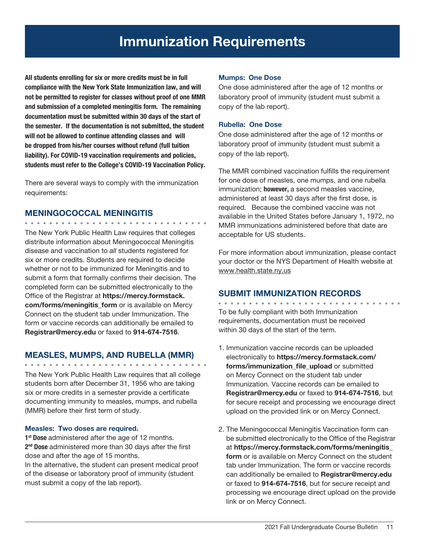# Immunization Requirements

All students enrolling for six or more credits must be in full compliance with the New York State Immunization law, and will not be permitted to register for classes without proof of one MMR and submission of a completed meningitis form. The remaining documentation must be submitted within 30 days of the start of the semester. If the documentation is not submitted, the student will not be allowed to continue attending classes and will be dropped from his/her courses without refund (full tuition liability). For COVID-19 vaccination requirements and policies, students must refer to the College's COVID-19 Vaccination Policy.

There are several ways to comply with the immunization requirements:

#### MENINGOCOCCAL MENINGITIS

. . . . . . . . . . . . . . . . . . .

The New York Public Health Law requires that colleges distribute information about Meningococcal Meningitis disease and vaccination to *all* students registered for six or more credits. Students are required to decide whether or not to be immunized for Meningitis and to submit a form that formally confirms their decision. The completed form can be submitted electronically to the Office of the Registrar at https://mercy.formstack. com/forms/meningitis\_form or is available on Mercy Connect on the student tab under Immunization. The form or vaccine records can additionally be emailed to Registrar@mercy.edu or faxed to 914-674-7516.

#### MEASLES, MUMPS, AND RUBELLA (MMR)

The New York Public Health Law requires that all college students born after December 31, 1956 who are taking six or more credits in a semester provide a certificate documenting immunity to measles, mumps, and rubella (MMR) before their first term of study.

#### Measles: Two doses are required.

1<sup>st</sup> Dose administered after the age of 12 months. 2<sup>nd</sup> Dose administered more than 30 days after the first dose and after the age of 15 months. In the alternative, the student can present medical proof of the disease or laboratory proof of immunity (student must submit a copy of the lab report).

#### Mumps: One Dose

One dose administered after the age of 12 months or laboratory proof of immunity (student must submit a copy of the lab report).

#### Rubella: One Dose

One dose administered after the age of 12 months or laboratory proof of immunity (student must submit a copy of the lab report).

The MMR combined vaccination fulfills the requirement for one dose of measles, one mumps, and one rubella immunization; **however**, a second measles vaccine, administered at least 30 days after the first dose, is required. Because the combined vaccine was not available in the United States before January 1, 1972, no MMR immunizations administered before that date are acceptable for US students.

For more information about immunization, please contact your doctor or the NYS Department of Health website at www.health.state.ny.us

#### SUBMIT IMMUNIZATION RECORDS

To be fully compliant with both Immunization requirements, documentation must be received within 30 days of the start of the term.

- 1. Immunization vaccine records can be uploaded electronically to https://mercy.formstack.com/ forms/immunization\_file\_upload or submitted on Mercy Connect on the student tab under Immunization. Vaccine records can be emailed to Registrar@mercy.edu or faxed to 914-674-7516, but for secure receipt and processing we encourage direct upload on the provided link or on Mercy Connect.
- 2. The Meningococcal Meningitis Vaccination form can be submitted electronically to the Office of the Registrar at https://mercy.formstack.com/forms/meningitis\_ form or is available on Mercy Connect on the student tab under Immunization. The form or vaccine records can additionally be emailed to Registrar@mercy.edu or faxed to 914-674-7516, but for secure receipt and processing we encourage direct upload on the provide link or on Mercy Connect.